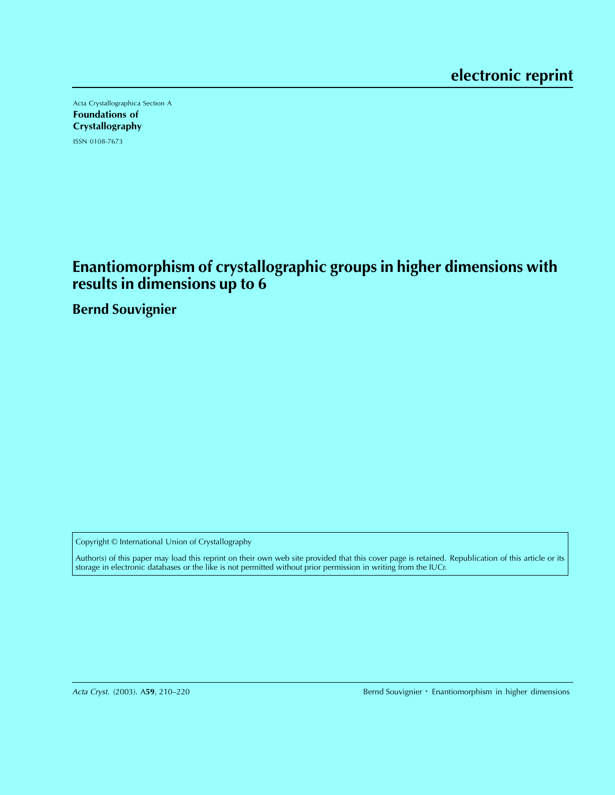Acta Crystallographica Section A Foundations of Crystallography ISSN 0108-7673

**Enantiomorphism of crystallographic groups in higher dimensions with results in dimensions up to 6**

**Bernd Souvignier**

Copyright © International Union of Crystallography

Author(s) of this paper may load this reprint on their own web site provided that this cover page is retained. Republication of this article or its storage in electronic databases or the like is not permitted without prior permission in writing from the IUCr.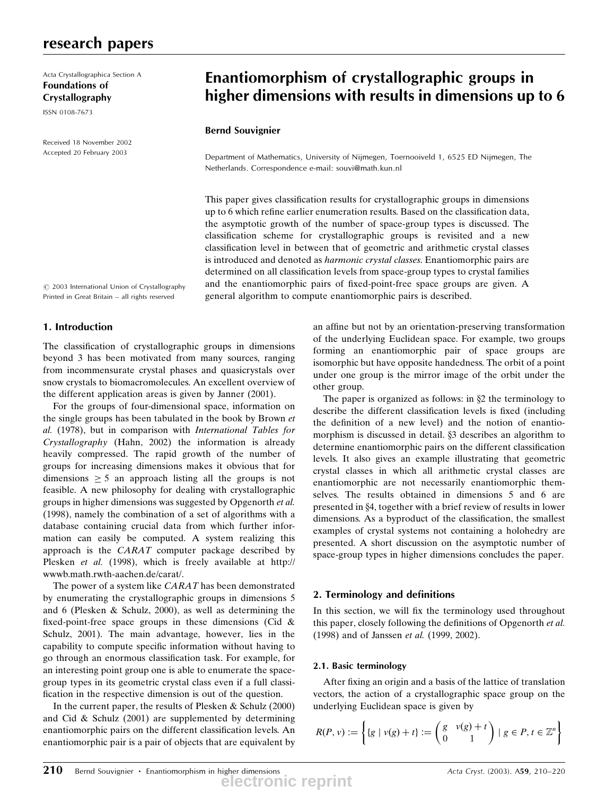# research papers

Acta Crystallographica Section A Foundations of Crystallography

ISSN 0108-7673

Received 18 November 2002 Accepted 20 February 2003

# Enantiomorphism of crystallographic groups in higher dimensions with results in dimensions up to 6

### Bernd Souvignier

Department of Mathematics, University of Nijmegen, Toernooiveld 1, 6525 ED Nijmegen, The Netherlands. Correspondence e-mail: souvi@math.kun.nl

This paper gives classification results for crystallographic groups in dimensions up to 6 which refine earlier enumeration results. Based on the classification data, the asymptotic growth of the number of space-group types is discussed. The classification scheme for crystallographic groups is revisited and a new classification level in between that of geometric and arithmetic crystal classes is introduced and denoted as *harmonic crystal classes*. Enantiomorphic pairs are determined on all classification levels from space-group types to crystal families and the enantiomorphic pairs of fixed-point-free space groups are given. A general algorithm to compute enantiomorphic pairs is described.

 $\odot$  2003 International Union of Crystallography Printed in Great Britain - all rights reserved

# 1. Introduction

The classification of crystallographic groups in dimensions beyond 3 has been motivated from many sources, ranging from incommensurate crystal phases and quasicrystals over snow crystals to biomacromolecules. An excellent overview of the different application areas is given by Janner (2001).

For the groups of four-dimensional space, information on the single groups has been tabulated in the book by Brown et al. (1978), but in comparison with International Tables for Crystallography (Hahn, 2002) the information is already heavily compressed. The rapid growth of the number of groups for increasing dimensions makes it obvious that for dimensions  $\geq$  5 an approach listing all the groups is not feasible. A new philosophy for dealing with crystallographic groups in higher dimensions was suggested by Opgenorth et al. (1998), namely the combination of a set of algorithms with a database containing crucial data from which further information can easily be computed. A system realizing this approach is the CARAT computer package described by Plesken et al. (1998), which is freely available at http:// wwwb.math.rwth-aachen.de/carat/.

The power of a system like CARAT has been demonstrated by enumerating the crystallographic groups in dimensions 5 and 6 (Plesken & Schulz, 2000), as well as determining the fixed-point-free space groups in these dimensions (Cid  $\&$ Schulz, 2001). The main advantage, however, lies in the capability to compute specific information without having to go through an enormous classification task. For example, for an interesting point group one is able to enumerate the spacegroup types in its geometric crystal class even if a full classi fication in the respective dimension is out of the question.

In the current paper, the results of Plesken & Schulz (2000) and Cid & Schulz (2001) are supplemented by determining enantiomorphic pairs on the different classification levels. An enantiomorphic pair is a pair of objects that are equivalent by an affine but not by an orientation-preserving transformation of the underlying Euclidean space. For example, two groups forming an enantiomorphic pair of space groups are isomorphic but have opposite handedness. The orbit of a point under one group is the mirror image of the orbit under the other group.

The paper is organized as follows: in  $\S$ 2 the terminology to describe the different classification levels is fixed (including the definition of a new level) and the notion of enantiomorphism is discussed in detail. §3 describes an algorithm to determine enantiomorphic pairs on the different classification levels. It also gives an example illustrating that geometric crystal classes in which all arithmetic crystal classes are enantiomorphic are not necessarily enantiomorphic themselves. The results obtained in dimensions 5 and 6 are presented in §4, together with a brief review of results in lower dimensions. As a byproduct of the classification, the smallest examples of crystal systems not containing a holohedry are presented. A short discussion on the asymptotic number of space-group types in higher dimensions concludes the paper.

# 2. Terminology and definitions

In this section, we will fix the terminology used throughout this paper, closely following the definitions of Opgenorth et al. (1998) and of Janssen et al. (1999, 2002).

### 2.1. Basic terminology

After fixing an origin and a basis of the lattice of translation vectors, the action of a crystallographic space group on the underlying Euclidean space is given by

$$
R(P, v) := \left\{ \{g \mid v(g) + t\} := \begin{pmatrix} g & v(g) + t \\ 0 & 1 \end{pmatrix} \mid g \in P, t \in \mathbb{Z}^n \right\}
$$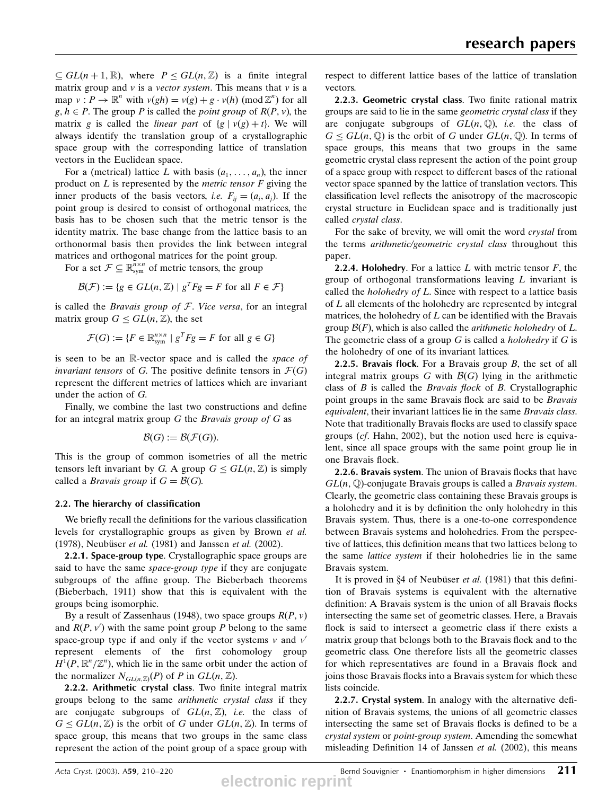$\subseteq GL(n + 1, \mathbb{R})$ , where  $P \le GL(n, \mathbb{Z})$  is a finite integral matrix group and  $\nu$  is a *vector system*. This means that  $\nu$  is a map  $v: P \to \mathbb{R}^n$  with  $v(gh) = v(g) + g \cdot v(h) \pmod{\mathbb{Z}^n}$  for all  $g, h \in P$ . The group P is called the *point group* of  $R(P, v)$ , the matrix g is called the *linear part* of  $\{g \mid v(g) + t\}$ . We will always identify the translation group of a crystallographic space group with the corresponding lattice of translation vectors in the Euclidean space.

For a (metrical) lattice L with basis  $(a_1, \ldots, a_n)$ , the inner product on  $L$  is represented by the *metric tensor*  $F$  giving the inner products of the basis vectors, *i.e.*  $F_{ij} = (a_i, a_j)$ . If the point group is desired to consist of orthogonal matrices, the basis has to be chosen such that the metric tensor is the identity matrix. The base change from the lattice basis to an orthonormal basis then provides the link between integral matrices and orthogonal matrices for the point group.

For a set  $\mathcal{F} \subseteq \mathbb{R}^{n \times n}_{sym}$  of metric tensors, the group

$$
\mathcal{B}(\mathcal{F}) := \{ g \in GL(n, \mathbb{Z}) \mid g^T F g = F \text{ for all } F \in \mathcal{F} \}
$$

is called the *Bravais group of F. Vice versa*, for an integral matrix group  $G \le GL(n, \mathbb{Z})$ , the set

$$
\mathcal{F}(G) := \{ F \in \mathbb{R}^{n \times n}_{sym} \mid g^T F g = F \text{ for all } g \in G \}
$$

is seen to be an  $\mathbb R$ -vector space and is called the space of invariant tensors of G. The positive definite tensors in  $\mathcal{F}(G)$ represent the different metrics of lattices which are invariant under the action of G.

Finally, we combine the last two constructions and define for an integral matrix group  $G$  the *Bravais group of*  $G$  as

$$
\mathcal{B}(G) := \mathcal{B}(\mathcal{F}(G)).
$$

This is the group of common isometries of all the metric tensors left invariant by G. A group  $G \le GL(n, \mathbb{Z})$  is simply called a *Bravais group* if  $G = \mathcal{B}(G)$ .

#### 2.2. The hierarchy of classification

We briefly recall the definitions for the various classification levels for crystallographic groups as given by Brown et al. (1978), Neubüser et al. (1981) and Janssen et al. (2002).

2.2.1. Space-group type. Crystallographic space groups are said to have the same space-group type if they are conjugate subgroups of the affine group. The Bieberbach theorems (Bieberbach, 1911) show that this is equivalent with the groups being isomorphic.

By a result of Zassenhaus (1948), two space groups  $R(P, v)$ and  $R(P, v')$  with the same point group P belong to the same space-group type if and only if the vector systems  $v$  and  $v'$ represent elements of the first cohomology group  $H^1(P, \mathbb{R}^n/\mathbb{Z}^n)$ , which lie in the same orbit under the action of the normalizer  $N_{GL(n,\mathbb{Z})}(P)$  of P in  $GL(n,\mathbb{Z})$ .

2.2.2. Arithmetic crystal class. Two finite integral matrix groups belong to the same arithmetic crystal class if they are conjugate subgroups of  $GL(n, \mathbb{Z})$ , *i.e.* the class of  $G \le GL(n, \mathbb{Z})$  is the orbit of G under  $GL(n, \mathbb{Z})$ . In terms of space group, this means that two groups in the same class represent the action of the point group of a space group with

respect to different lattice bases of the lattice of translation vectors.

2.2.3. Geometric crystal class. Two finite rational matrix groups are said to lie in the same geometric crystal class if they are conjugate subgroups of  $GL(n, \mathbb{Q})$ , *i.e.* the class of  $G \le GL(n, \mathbb{Q})$  is the orbit of G under  $GL(n, \mathbb{Q})$ . In terms of space groups, this means that two groups in the same geometric crystal class represent the action of the point group of a space group with respect to different bases of the rational vector space spanned by the lattice of translation vectors. This classification level reflects the anisotropy of the macroscopic crystal structure in Euclidean space and is traditionally just called crystal class.

For the sake of brevity, we will omit the word crystal from the terms arithmetic/geometric crystal class throughout this paper.

**2.2.4. Holohedry.** For a lattice  $L$  with metric tensor  $F$ , the group of orthogonal transformations leaving  $L$  invariant is called the *holohedry of L*. Since with respect to a lattice basis of L all elements of the holohedry are represented by integral matrices, the holohedry of  $L$  can be identified with the Bravais group  $\mathcal{B}(F)$ , which is also called the *arithmetic holohedry* of L. The geometric class of a group  $G$  is called a *holohedry* if  $G$  is the holohedry of one of its invariant lattices.

**2.2.5. Bravais flock**. For a Bravais group  $B$ , the set of all integral matrix groups G with  $\mathcal{B}(G)$  lying in the arithmetic class of  $B$  is called the *Bravais flock* of  $B$ . Crystallographic point groups in the same Bravais flock are said to be *Bravais* equivalent, their invariant lattices lie in the same Bravais class. Note that traditionally Bravais flocks are used to classify space groups (cf. Hahn, 2002), but the notion used here is equivalent, since all space groups with the same point group lie in one Bravais flock.

2.2.6. Bravais system. The union of Bravais flocks that have  $GL(n, \mathbb{Q})$ -conjugate Bravais groups is called a *Bravais system*. Clearly, the geometric class containing these Bravais groups is a holohedry and it is by definition the only holohedry in this Bravais system. Thus, there is a one-to-one correspondence between Bravais systems and holohedries. From the perspective of lattices, this definition means that two lattices belong to the same lattice system if their holohedries lie in the same Bravais system.

It is proved in  $§4$  of Neubüser *et al.* (1981) that this definition of Bravais systems is equivalent with the alternative definition: A Bravais system is the union of all Bravais flocks intersecting the same set of geometric classes. Here, a Bravais flock is said to intersect a geometric class if there exists a matrix group that belongs both to the Bravais flock and to the geometric class. One therefore lists all the geometric classes for which representatives are found in a Bravais flock and joins those Bravais flocks into a Bravais system for which these lists coincide.

2.2.7. Crystal system. In analogy with the alternative definition of Bravais systems, the unions of all geometric classes intersecting the same set of Bravais flocks is defined to be a crystal system or point-group system. Amending the somewhat misleading Definition 14 of Janssen et al. (2002), this means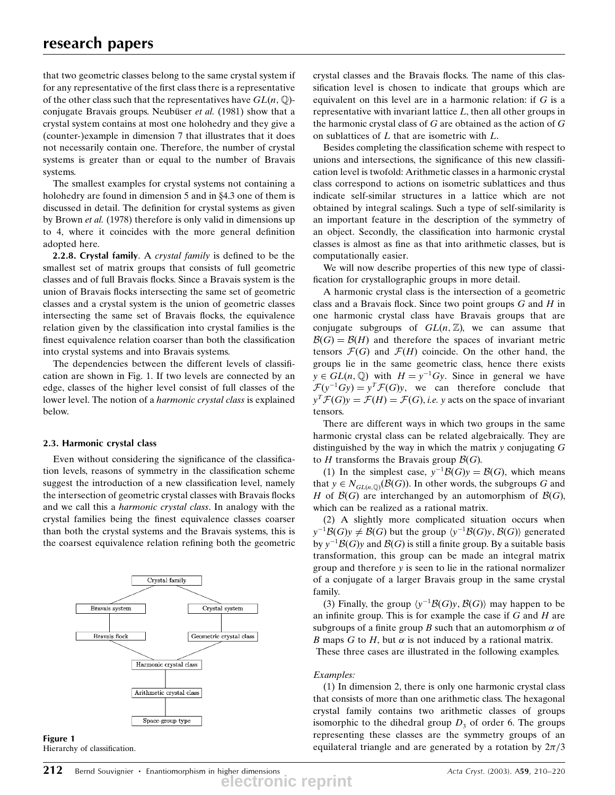that two geometric classes belong to the same crystal system if for any representative of the first class there is a representative of the other class such that the representatives have  $GL(n, \mathbb{Q})$ conjugate Bravais groups. Neubüser  $et$  al. (1981) show that a crystal system contains at most one holohedry and they give a (counter-)example in dimension 7 that illustrates that it does not necessarily contain one. Therefore, the number of crystal systems is greater than or equal to the number of Bravais systems.

The smallest examples for crystal systems not containing a holohedry are found in dimension  $5$  and in  $84.3$  one of them is discussed in detail. The definition for crystal systems as given by Brown et al. (1978) therefore is only valid in dimensions up to 4, where it coincides with the more general definition adopted here.

2.2.8. Crystal family. A crystal family is defined to be the smallest set of matrix groups that consists of full geometric classes and of full Bravais flocks. Since a Bravais system is the union of Bravais flocks intersecting the same set of geometric classes and a crystal system is the union of geometric classes intersecting the same set of Bravais flocks, the equivalence relation given by the classification into crystal families is the finest equivalence relation coarser than both the classification into crystal systems and into Bravais systems.

The dependencies between the different levels of classification are shown in Fig. 1. If two levels are connected by an edge, classes of the higher level consist of full classes of the lower level. The notion of a *harmonic crystal class* is explained below.

### 2.3. Harmonic crystal class

Even without considering the significance of the classification levels, reasons of symmetry in the classification scheme suggest the introduction of a new classification level, namely the intersection of geometric crystal classes with Bravais flocks and we call this a harmonic crystal class. In analogy with the crystal families being the finest equivalence classes coarser than both the crystal systems and the Bravais systems, this is the coarsest equivalence relation refining both the geometric





crystal classes and the Bravais flocks. The name of this classification level is chosen to indicate that groups which are equivalent on this level are in a harmonic relation: if  $G$  is a representative with invariant lattice L, then all other groups in the harmonic crystal class of  $G$  are obtained as the action of  $G$ on sublattices of L that are isometric with L.

Besides completing the classification scheme with respect to unions and intersections, the significance of this new classification level is twofold: Arithmetic classes in a harmonic crystal class correspond to actions on isometric sublattices and thus indicate self-similar structures in a lattice which are not obtained by integral scalings. Such a type of self-similarity is an important feature in the description of the symmetry of an object. Secondly, the classification into harmonic crystal classes is almost as fine as that into arithmetic classes, but is computationally easier.

We will now describe properties of this new type of classi fication for crystallographic groups in more detail.

A harmonic crystal class is the intersection of a geometric class and a Bravais flock. Since two point groups  $G$  and  $H$  in one harmonic crystal class have Bravais groups that are conjugate subgroups of  $GL(n, \mathbb{Z})$ , we can assume that  $\mathcal{B}(G) = \mathcal{B}(H)$  and therefore the spaces of invariant metric tensors  $\mathcal{F}(G)$  and  $\mathcal{F}(H)$  coincide. On the other hand, the groups lie in the same geometric class, hence there exists  $y \in GL(n, \mathbb{Q})$  with  $H = y^{-1}Gy$ . Since in general we have  $\mathcal{F}(y^{-1}Gy) = y^T \mathcal{F}(G)y$ , we can therefore conclude that  $y^T \mathcal{F}(G) y = \mathcal{F}(H) = \mathcal{F}(G)$ , *i.e.* y acts on the space of invariant tensors.

There are different ways in which two groups in the same harmonic crystal class can be related algebraically. They are distinguished by the way in which the matrix  $y$  conjugating  $G$ to H transforms the Bravais group  $\mathcal{B}(G)$ .

(1) In the simplest case,  $y^{-1}\mathcal{B}(G)y = \mathcal{B}(G)$ , which means that  $y \in N_{GL(n, \mathbb{Q})}(\mathcal{B}(G))$ . In other words, the subgroups G and H of  $\mathcal{B}(G)$  are interchanged by an automorphism of  $\mathcal{B}(G)$ , which can be realized as a rational matrix.

(2) A slightly more complicated situation occurs when  $y^{-1}\mathcal{B}(G)y \neq \mathcal{B}(G)$  but the group  $\langle y^{-1}\mathcal{B}(G)y, \mathcal{B}(G) \rangle$  generated by  $y^{-1}\mathcal{B}(G)y$  and  $\mathcal{B}(G)$  is still a finite group. By a suitable basis transformation, this group can be made an integral matrix group and therefore y is seen to lie in the rational normalizer of a conjugate of a larger Bravais group in the same crystal family.

(3) Finally, the group  $\langle y^{-1} \mathcal{B}(G) y, \mathcal{B}(G) \rangle$  may happen to be an infinite group. This is for example the case if  $G$  and  $H$  are subgroups of a finite group B such that an automorphism  $\alpha$  of B maps G to H, but  $\alpha$  is not induced by a rational matrix.

These three cases are illustrated in the following examples.

### Examples:

(1) In dimension 2, there is only one harmonic crystal class that consists of more than one arithmetic class. The hexagonal crystal family contains two arithmetic classes of groups isomorphic to the dihedral group  $D_3$  of order 6. The groups representing these classes are the symmetry groups of an equilateral triangle and are generated by a rotation by  $2\pi/3$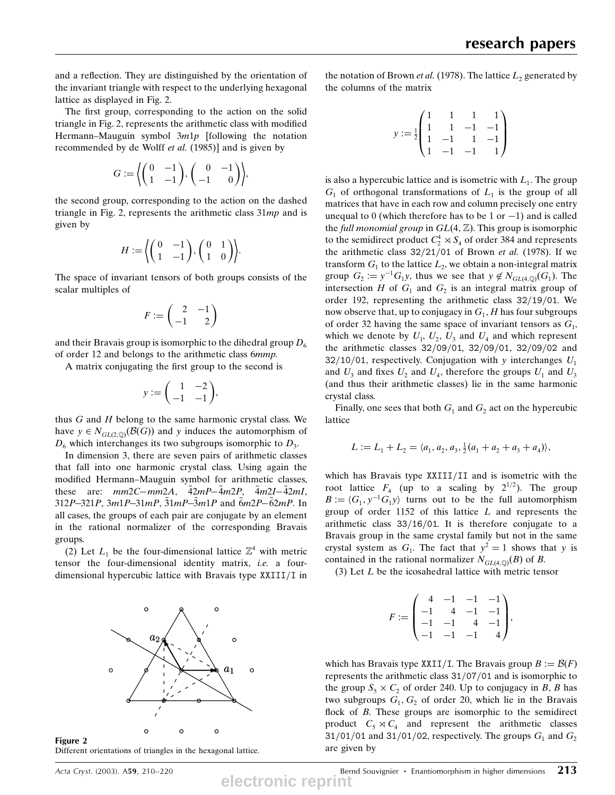and a reflection. They are distinguished by the orientation of the invariant triangle with respect to the underlying hexagonal lattice as displayed in Fig. 2.

The first group, corresponding to the action on the solid triangle in Fig. 2, represents the arithmetic class with modified Hermann-Mauguin symbol  $3m1p$  [following the notation recommended by de Wolff et al. (1985)] and is given by

$$
G:=\left\langle \begin{pmatrix} 0 & -1 \\ 1 & -1 \end{pmatrix}, \begin{pmatrix} 0 & -1 \\ -1 & 0 \end{pmatrix} \right\rangle,
$$

the second group, corresponding to the action on the dashed triangle in Fig. 2, represents the arithmetic class  $31mp$  and is given by

$$
H := \left\langle \begin{pmatrix} 0 & -1 \\ 1 & -1 \end{pmatrix}, \begin{pmatrix} 0 & 1 \\ 1 & 0 \end{pmatrix} \right\rangle.
$$

The space of invariant tensors of both groups consists of the scalar multiples of

$$
F:=\begin{pmatrix}2&-1\\-1&2\end{pmatrix}
$$

and their Bravais group is isomorphic to the dihedral group  $D_6$ of order 12 and belongs to the arithmetic class 6mmp.

A matrix conjugating the first group to the second is

$$
y := \begin{pmatrix} 1 & -2 \\ -1 & -1 \end{pmatrix},
$$

thus  $G$  and  $H$  belong to the same harmonic crystal class. We have  $y \in N_{GL(2,\mathbb{D})}(\mathcal{B}(G))$  and y induces the automorphism of  $D_6$  which interchanges its two subgroups isomorphic to  $D_3$ .

In dimension 3, there are seven pairs of arithmetic classes that fall into one harmonic crystal class. Using again the modified Hermann-Mauguin symbol for arithmetic classes, these are:  $mm2C-mm2A$ ,  $\bar{4}2mP-\bar{4}m2P$ ,  $\bar{4}m2I-\bar{4}2mI$ , 312P-321P, 3m1P-31mP, 31mP-3m1P and 6m2P-62mP. In all cases, the groups of each pair are conjugate by an element in the rational normalizer of the corresponding Bravais groups.

(2) Let  $L_1$  be the four-dimensional lattice  $\mathbb{Z}^4$  with metric tensor the four-dimensional identity matrix, i.e. a fourdimensional hypercubic lattice with Bravais type  $XXIII/I$  in





the notation of Brown *et al.* (1978). The lattice  $L_2$  generated by the columns of the matrix

$$
y:=\tfrac{1}{2}\begin{pmatrix}1&1&1&1\\1&1&-1&-1\\1&-1&1&-1\\1&-1&-1&1\end{pmatrix}
$$

is also a hypercubic lattice and is isometric with  $L_1$ . The group  $G_1$  of orthogonal transformations of  $L_1$  is the group of all matrices that have in each row and column precisely one entry unequal to 0 (which therefore has to be 1 or  $-1$ ) and is called the full monomial group in  $GL(4, \mathbb{Z})$ . This group is isomorphic to the semidirect product  $C_2^4 \rtimes S_4$  of order 384 and represents the arithmetic class  $32/21/01$  of Brown *et al.* (1978). If we transform  $G_1$  to the lattice  $L_2$ , we obtain a non-integral matrix group  $G_2 := y^{-1} G_1 y$ , thus we see that  $y \notin N_{GL(4,\mathbb{Q})}(G_1)$ . The intersection H of  $G_1$  and  $G_2$  is an integral matrix group of order 192, representing the arithmetic class  $32/19/01$ . We now observe that, up to conjugacy in  $G_1$ , H has four subgroups of order 32 having the same space of invariant tensors as  $G_1$ , which we denote by  $U_1$ ,  $U_2$ ,  $U_3$  and  $U_4$  and which represent the arithmetic classes 32/09/01, 32/09/01, 32/09/02 and 32/10/01, respectively. Conjugation with y interchanges  $U_1$ and  $U_3$  and fixes  $U_2$  and  $U_4$ , therefore the groups  $U_1$  and  $U_3$ (and thus their arithmetic classes) lie in the same harmonic crystal class.

Finally, one sees that both  $G_1$  and  $G_2$  act on the hypercubic lattice

$$
L := L_1 + L_2 = \langle a_1, a_2, a_3, \frac{1}{2}(a_1 + a_2 + a_3 + a_4) \rangle,
$$

which has Bravais type  $XXIII/II$  and is isometric with the root lattice  $F_4$  (up to a scaling by  $2^{1/2}$ ). The group  $B := \langle G_1, y^{-1}G_1y \rangle$  turns out to be the full automorphism group of order  $1152$  of this lattice  $L$  and represents the arithmetic class  $33/16/01$ . It is therefore conjugate to a Bravais group in the same crystal family but not in the same crystal system as  $G_1$ . The fact that  $y^2 = 1$  shows that y is contained in the rational normalizer  $N_{GL(4,\mathbb{Q})}(B)$  of B.

(3) Let L be the icosahedral lattice with metric tensor

$$
F:=\begin{pmatrix} 4 & -1 & -1 & -1 \\ -1 & 4 & -1 & -1 \\ -1 & -1 & 4 & -1 \\ -1 & -1 & -1 & 4 \end{pmatrix},
$$

which has Bravais type XXII/I. The Bravais group  $B := \mathcal{B}(F)$ represents the arithmetic class 31/07/01 and is isomorphic to the group  $S_5 \times C_2$  of order 240. Up to conjugacy in B, B has two subgroups  $G_1, G_2$  of order 20, which lie in the Bravais flock of  $B$ . These groups are isomorphic to the semidirect product  $C_5 \rtimes C_4$  and represent the arithmetic classes 31/01/01 and 31/01/02, respectively. The groups  $G_1$  and  $G_2$ are given by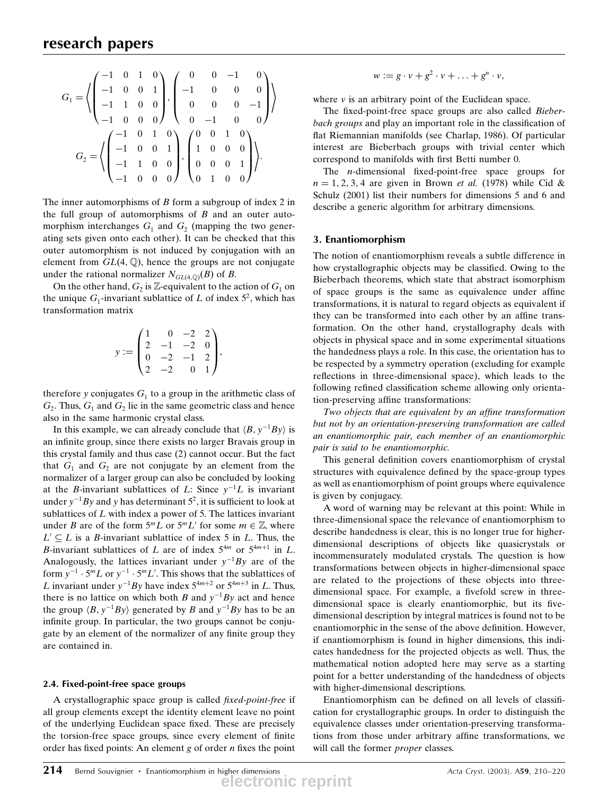$$
G_1 = \left\langle \begin{pmatrix} -1 & 0 & 1 & 0 \\ -1 & 0 & 0 & 1 \\ -1 & 1 & 0 & 0 \\ -1 & 0 & 0 & 0 \end{pmatrix}, \begin{pmatrix} 0 & 0 & -1 & 0 \\ -1 & 0 & 0 & 0 \\ 0 & 0 & 0 & -1 \\ 0 & -1 & 0 & 0 \end{pmatrix} \right\rangle
$$

$$
G_2 = \left\langle \begin{pmatrix} -1 & 0 & 1 & 0 \\ -1 & 0 & 0 & 1 \\ -1 & 1 & 0 & 0 \\ -1 & 0 & 0 & 0 \end{pmatrix}, \begin{pmatrix} 0 & 0 & 1 & 0 \\ 1 & 0 & 0 & 0 \\ 0 & 0 & 0 & 1 \\ 0 & 1 & 0 & 0 \end{pmatrix} \right\rangle.
$$

The inner automorphisms of  $B$  form a subgroup of index  $2$  in the full group of automorphisms of  $B$  and an outer automorphism interchanges  $G_1$  and  $G_2$  (mapping the two generating sets given onto each other). It can be checked that this outer automorphism is not induced by conjugation with an element from  $GL(4, \mathbb{Q})$ , hence the groups are not conjugate under the rational normalizer  $N_{GL(4,\mathbb{Q})}(B)$  of B.

On the other hand,  $G_2$  is Z-equivalent to the action of  $G_1$  on the unique  $G_1$ -invariant sublattice of L of index  $5^2$ , which has transformation matrix

$$
y := \begin{pmatrix} 1 & 0 & -2 & 2 \\ 2 & -1 & -2 & 0 \\ 0 & -2 & -1 & 2 \\ 2 & -2 & 0 & 1 \end{pmatrix},
$$

therefore y conjugates  $G_1$  to a group in the arithmetic class of  $G_2$ . Thus,  $G_1$  and  $G_2$  lie in the same geometric class and hence also in the same harmonic crystal class.

In this example, we can already conclude that  $\langle B, y^{-1}By \rangle$  is an infinite group, since there exists no larger Bravais group in this crystal family and thus case (2) cannot occur. But the fact that  $G_1$  and  $G_2$  are not conjugate by an element from the normalizer of a larger group can also be concluded by looking at the *B*-invariant sublattices of *L*: Since  $y^{-1}L$  is invariant under  $y^{-1}By$  and y has determinant 5<sup>2</sup>, it is sufficient to look at sublattices of  $L$  with index a power of 5. The lattices invariant under B are of the form  $5^m L$  or  $5^m L'$  for some  $m \in \mathbb{Z}$ , where  $L' \subseteq L$  is a B-invariant sublattice of index 5 in L. Thus, the B-invariant sublattices of L are of index  $5^{4m}$  or  $5^{4m+1}$  in L. Analogously, the lattices invariant under  $y^{-1}By$  are of the form  $y^{-1} \cdot 5^m L$  or  $y^{-1} \cdot 5^m L'$ . This shows that the sublattices of L invariant under  $y^{-1}By$  have index  $5^{4m+2}$  or  $5^{4m+3}$  in L. Thus, there is no lattice on which both B and  $y^{-1}By$  act and hence the group  $\langle B, y^{-1}By \rangle$  generated by B and  $y^{-1}By$  has to be an infinite group. In particular, the two groups cannot be conjugate by an element of the normalizer of any finite group they are contained in.

### 2.4. Fixed-point-free space groups

A crystallographic space group is called fixed-point-free if all group elements except the identity element leave no point of the underlying Euclidean space fixed. These are precisely the torsion-free space groups, since every element of finite order has fixed points: An element  $g$  of order  $n$  fixes the point

$$
w := g \cdot v + g^2 \cdot v + \ldots + g^n \cdot v,
$$

where  $\nu$  is an arbitrary point of the Euclidean space.

The fixed-point-free space groups are also called *Bieber*bach groups and play an important role in the classification of flat Riemannian manifolds (see Charlap, 1986). Of particular interest are Bieberbach groups with trivial center which correspond to manifolds with first Betti number 0.

The *-dimensional fixed-point-free space groups for*  $n = 1, 2, 3, 4$  are given in Brown *et al.* (1978) while Cid & Schulz (2001) list their numbers for dimensions 5 and 6 and describe a generic algorithm for arbitrary dimensions.

#### 3. Enantiomorphism

The notion of enantiomorphism reveals a subtle difference in how crystallographic objects may be classified. Owing to the Bieberbach theorems, which state that abstract isomorphism of space groups is the same as equivalence under affine transformations, it is natural to regard objects as equivalent if they can be transformed into each other by an affine transformation. On the other hand, crystallography deals with objects in physical space and in some experimental situations the handedness plays a role. In this case, the orientation has to be respected by a symmetry operation (excluding for example reflections in three-dimensional space), which leads to the following refined classification scheme allowing only orientation-preserving affine transformations:

Two objects that are equivalent by an affine transformation but not by an orientation-preserving transformation are called an enantiomorphic pair, each member of an enantiomorphic pair is said to be enantiomorphic.

This general definition covers enantiomorphism of crystal structures with equivalence defined by the space-group types as well as enantiomorphism of point groups where equivalence is given by conjugacy.

A word of warning may be relevant at this point: While in three-dimensional space the relevance of enantiomorphism to describe handedness is clear, this is no longer true for higherdimensional descriptions of objects like quasicrystals or incommensurately modulated crystals. The question is how transformations between objects in higher-dimensional space are related to the projections of these objects into threedimensional space. For example, a fivefold screw in threedimensional space is clearly enantiomorphic, but its fivedimensional description by integral matrices is found not to be enantiomorphic in the sense of the above definition. However, if enantiomorphism is found in higher dimensions, this indicates handedness for the projected objects as well. Thus, the mathematical notion adopted here may serve as a starting point for a better understanding of the handedness of objects with higher-dimensional descriptions.

Enantiomorphism can be defined on all levels of classification for crystallographic groups. In order to distinguish the equivalence classes under orientation-preserving transformations from those under arbitrary affine transformations, we will call the former proper classes.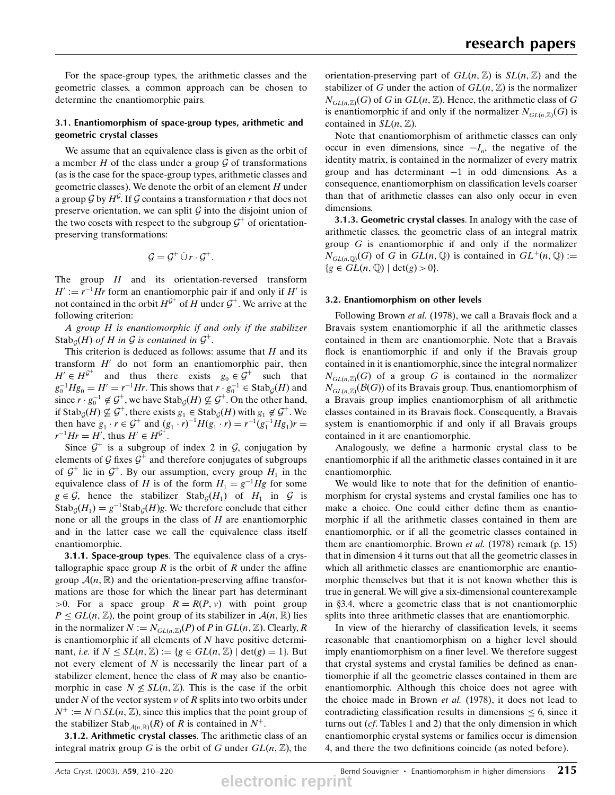For the space-group types, the arithmetic classes and the geometric classes, a common approach can be chosen to determine the enantiomorphic pairs.

# 3.1. Enantiomorphism of space-group types, arithmetic and geometric crystal classes

We assume that an equivalence class is given as the orbit of a member  $H$  of the class under a group  $\mathcal G$  of transformations (as is the case for the space-group types, arithmetic classes and geometric classes). We denote the orbit of an element  $H$  under a group G by  $H^{\mathcal{G}}$ . If G contains a transformation r that does not preserve orientation, we can split  $G$  into the disjoint union of the two cosets with respect to the subgroup  $\mathcal{G}^+$  of orientationpreserving transformations:

$$
\mathcal{G} = \mathcal{G}^+ \cup r \cdot \mathcal{G}^+.
$$

The group  $H$  and its orientation-reversed transform  $H' := r^{-1}Hr$  form an enantiomorphic pair if and only if H' is not contained in the orbit  $H^{\mathcal{G}^+}$  of H under  $\mathcal{G}^+$ . We arrive at the following criterion:

A group H is enantiomorphic if and only if the stabilizer Stab<sub>G</sub> $(H)$  of H in G is contained in  $\mathcal{G}^+$ .

This criterion is deduced as follows: assume that  $H$  and its transform  $H'$  do not form an enantiomorphic pair, then  $H' \in H^{\mathcal{G}^+}$  and thus there exists  $g_0 \in \mathcal{G}^+$  such that  $g_0^{-1}Hg_0 = H' = r^{-1}Hr$ . This shows that  $r \cdot g_0^{-1} \in \text{Stab}_{\mathcal{G}}(H)$  and since  $r \cdot g_0^{-1} \notin \mathcal{G}^+$ , we have  $\text{Stab}_{\mathcal{G}}(H) \nsubseteq \mathcal{G}^+$ . On the other hand, if Stab<sub>G</sub> $(H) \nsubseteq \mathcal{G}^+$ , there exists  $g_1 \in \text{Stab}_G(H)$  with  $g_1 \notin \mathcal{G}^+$ . We then have  $g_1 \cdot r \in \mathcal{G}^+$  and  $(g_1 \cdot r)^{-1}H(g_1 \cdot r) = r^{-1}(g_1^{-1}Hg_1)r =$  $r^{-1}Hr = H'$ , thus  $H' \in H^{\mathcal{G}^+}$ .

Since  $G^+$  is a subgroup of index 2 in G, conjugation by elements of  $\mathcal G$  fixes  $\mathcal G^+$  and therefore conjugates of subgroups of  $\mathcal{G}^+$  lie in  $\mathcal{G}^+$ . By our assumption, every group  $H_1$  in the equivalence class of H is of the form  $H_1 = g^{-1}Hg$  for some  $g \in \mathcal{G}$ , hence the stabilizer Stab<sub> $G$ </sub> $(H_1)$  of  $H_1$  in  $\mathcal{G}$  is  $\operatorname{Stab}_{\mathcal{G}}(H_1) = g^{-1}\operatorname{Stab}_{\mathcal{G}}(H)g$ . We therefore conclude that either none or all the groups in the class of  $H$  are enantiomorphic and in the latter case we call the equivalence class itself enantiomorphic.

3.1.1. Space-group types. The equivalence class of a crystallographic space group  $R$  is the orbit of  $R$  under the affine group  $\mathcal{A}(n,\mathbb{R})$  and the orientation-preserving affine transformations are those for which the linear part has determinant  $>0$ . For a space group  $R = R(P, v)$  with point group  $P \le GL(n, \mathbb{Z})$ , the point group of its stabilizer in  $\mathcal{A}(n, \mathbb{R})$  lies in the normalizer  $N := N_{GL(n,\mathbb{Z})}(P)$  of P in  $GL(n,\mathbb{Z})$ . Clearly, R is enantiomorphic if all elements of  $N$  have positive determinant, *i.e.* if  $N \leq SL(n, \mathbb{Z}) := \{g \in GL(n, \mathbb{Z}) \mid \det(g) = 1\}.$  But not every element of  $N$  is necessarily the linear part of a stabilizer element, hence the class of  $R$  may also be enantiomorphic in case  $N \nleq SL(n, \mathbb{Z})$ . This is the case if the orbit under N of the vector system  $v$  of R splits into two orbits under  $N^+ := N \cap SL(n, \mathbb{Z})$ , since this implies that the point group of the stabilizer Stab<sub> $\mathcal{A}(n,\mathbb{R})$ </sub> $(R)$  of R is contained in  $N^+$ .

3.1.2. Arithmetic crystal classes. The arithmetic class of an integral matrix group G is the orbit of G under  $GL(n, \mathbb{Z})$ , the

orientation-preserving part of  $GL(n, \mathbb{Z})$  is  $SL(n, \mathbb{Z})$  and the stabilizer of G under the action of  $GL(n, \mathbb{Z})$  is the normalizer  $N_{GL(n,\mathbb{Z})}(G)$  of G in  $GL(n,\mathbb{Z})$ . Hence, the arithmetic class of G is enantiomorphic if and only if the normalizer  $N_{GL(n,\mathbb{Z})}(G)$  is contained in  $SL(n, \mathbb{Z})$ .

Note that enantiomorphism of arithmetic classes can only occur in even dimensions, since  $-I_n$ , the negative of the identity matrix, is contained in the normalizer of every matrix group and has determinant  $-1$  in odd dimensions. As a consequence, enantiomorphism on classification levels coarser than that of arithmetic classes can also only occur in even dimensions.

3.1.3. Geometric crystal classes. In analogy with the case of arithmetic classes, the geometric class of an integral matrix group  $G$  is enantiomorphic if and only if the normalizer  $N_{GL(n, \mathbb{Q})}(G)$  of G in  $GL(n, \mathbb{Q})$  is contained in  $GL^+(n, \mathbb{Q}) :=$  ${g \in GL(n, \mathbb{Q}) \mid \det(g) > 0}.$ 

## 3.2. Enantiomorphism on other levels

Following Brown et al. (1978), we call a Bravais flock and a Bravais system enantiomorphic if all the arithmetic classes contained in them are enantiomorphic. Note that a Bravais flock is enantiomorphic if and only if the Bravais group contained in it is enantiomorphic, since the integral normalizer  $N_{GL(n,\mathbb{Z})}(G)$  of a group G is contained in the normalizer  $N_{GL(n,\mathbb{Z})}(\mathcal{B}(G))$  of its Bravais group. Thus, enantiomorphism of a Bravais group implies enantiomorphism of all arithmetic classes contained in its Bravais flock. Consequently, a Bravais system is enantiomorphic if and only if all Bravais groups contained in it are enantiomorphic.

Analogously, we define a harmonic crystal class to be enantiomorphic if all the arithmetic classes contained in it are enantiomorphic.

We would like to note that for the definition of enantiomorphism for crystal systems and crystal families one has to make a choice. One could either define them as enantiomorphic if all the arithmetic classes contained in them are enantiomorphic, or if all the geometric classes contained in them are enantiomorphic. Brown et al. (1978) remark (p. 15) that in dimension 4 it turns out that all the geometric classes in which all arithmetic classes are enantiomorphic are enantiomorphic themselves but that it is not known whether this is true in general. We will give a six-dimensional counterexample in x3.4, where a geometric class that is not enantiomorphic splits into three arithmetic classes that are enantiomorphic.

In view of the hierarchy of classification levels, it seems reasonable that enantiomorphism on a higher level should imply enantiomorphism on a finer level. We therefore suggest that crystal systems and crystal families be defined as enantiomorphic if all the geometric classes contained in them are enantiomorphic. Although this choice does not agree with the choice made in Brown et al. (1978), it does not lead to contradicting classification results in dimensions  $\leq 6$ , since it turns out  $(cf.$  Tables 1 and 2) that the only dimension in which enantiomorphic crystal systems or families occur is dimension 4, and there the two definitions coincide (as noted before).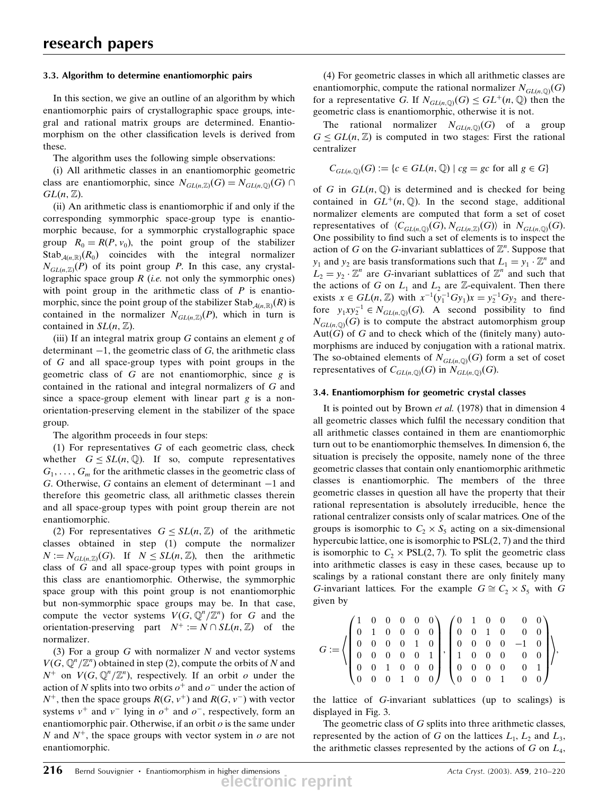## 3.3. Algorithm to determine enantiomorphic pairs

In this section, we give an outline of an algorithm by which enantiomorphic pairs of crystallographic space groups, integral and rational matrix groups are determined. Enantiomorphism on the other classification levels is derived from these.

The algorithm uses the following simple observations:

(i) All arithmetic classes in an enantiomorphic geometric class are enantiomorphic, since  $N_{GL(n,\mathbb{Z})}(G) = N_{GL(n,\mathbb{Q})}(G) \cap$  $GL(n, \mathbb{Z})$ .

(ii) An arithmetic class is enantiomorphic if and only if the corresponding symmorphic space-group type is enantiomorphic because, for a symmorphic crystallographic space group  $R_0 = R(P, v_0)$ , the point group of the stabilizer Stab<sub>A(n,R)</sub>( $R_0$ ) coincides with the integral normalizer  $N_{GL(n, \mathbb{Z})}(P)$  of its point group P. In this case, any crystallographic space group  $R$  (*i.e.* not only the symmorphic ones) with point group in the arithmetic class of  $P$  is enantiomorphic, since the point group of the stabilizer Stab $_{\mathcal{A}(n,\mathbb{R})}(R)$  is contained in the normalizer  $N_{GL(n,\mathbb{Z})}(P)$ , which in turn is contained in  $SL(n, \mathbb{Z})$ .

(iii) If an integral matrix group  $G$  contains an element  $g$  of determinant  $-1$ , the geometric class of G, the arithmetic class of G and all space-group types with point groups in the geometric class of  $G$  are not enantiomorphic, since  $g$  is contained in the rational and integral normalizers of G and since a space-group element with linear part  $g$  is a nonorientation-preserving element in the stabilizer of the space group.

The algorithm proceeds in four steps:

(1) For representatives  $G$  of each geometric class, check whether  $G \leq SL(n, \mathbb{Q})$ . If so, compute representatives  $G_1, \ldots, G_m$  for the arithmetic classes in the geometric class of G. Otherwise, G contains an element of determinant  $-1$  and therefore this geometric class, all arithmetic classes therein and all space-group types with point group therein are not enantiomorphic.

(2) For representatives  $G \leq SL(n, \mathbb{Z})$  of the arithmetic classes obtained in step (1) compute the normalizer  $N := N_{GL(n,\mathbb{Z})}(G)$ . If  $N \le SL(n,\mathbb{Z})$ , then the arithmetic class of G and all space-group types with point groups in this class are enantiomorphic. Otherwise, the symmorphic space group with this point group is not enantiomorphic but non-symmorphic space groups may be. In that case, compute the vector systems  $V(G, \mathbb{Q}^n/\mathbb{Z}^n)$  for G and the orientation-preserving part  $N^+ := N \cap SL(n, \mathbb{Z})$  of the normalizer.

(3) For a group  $G$  with normalizer  $N$  and vector systems  $V(G, \mathbb{Q}^n/\mathbb{Z}^n)$  obtained in step (2), compute the orbits of N and  $N^+$  on  $V(G, \mathbb{Q}^n/\mathbb{Z}^n)$ , respectively. If an orbit  $o$  under the action of N splits into two orbits  $o^+$  and  $o^-$  under the action of  $N^+$ , then the space groups  $R(G, v^+)$  and  $R(G, v^-)$  with vector systems  $v^+$  and  $v^-$  lying in  $o^+$  and  $o^-$ , respectively, form an enantiomorphic pair. Otherwise, if an orbit  $o$  is the same under N and  $N^+$ , the space groups with vector system in  $o$  are not enantiomorphic.

(4) For geometric classes in which all arithmetic classes are enantiomorphic, compute the rational normalizer  $N_{GL(n, \mathbb{Q})}(G)$ for a representative G. If  $N_{GL(n,\mathbb{Q})}(G) \leq GL^+(n,\mathbb{Q})$  then the geometric class is enantiomorphic, otherwise it is not.

The rational normalizer  $N_{GL(n, \mathbb{Q})}(G)$  of a group  $G \le GL(n, \mathbb{Z})$  is computed in two stages: First the rational centralizer

$$
C_{GL(n,\mathbb{Q})}(G) := \{c \in GL(n,\mathbb{Q}) \mid cg = gc \text{ for all } g \in G\}
$$

of G in  $GL(n, \mathbb{Q})$  is determined and is checked for being contained in  $GL^+(n,\mathbb{Q})$ . In the second stage, additional normalizer elements are computed that form a set of coset representatives of  $\langle C_{GL(n, \mathbb{Q})}(G), N_{GL(n, \mathbb{Z})}(G) \rangle$  in  $N_{GL(n, \mathbb{Q})}(G)$ . One possibility to find such a set of elements is to inspect the action of G on the G-invariant sublattices of  $\mathbb{Z}^n$ . Suppose that  $y_1$  and  $y_2$  are basis transformations such that  $L_1 = y_1 \cdot \mathbb{Z}^n$  and  $L_2 = y_2 \cdot \mathbb{Z}^n$  are G-invariant sublattices of  $\mathbb{Z}^n$  and such that the actions of G on  $L_1$  and  $L_2$  are Z-equivalent. Then there exists  $x \in GL(n, \mathbb{Z})$  with  $x^{-1}(y_1^{-1}Gy_1)x = y_2^{-1}Gy_2$  and therefore  $y_1xy_2^{-1} \in N_{GL(n,\mathbb{Q})}(G)$ . A second possibility to find  $N_{GL(n, Q)}(G)$  is to compute the abstract automorphism group  $Aut(G)$  of G and to check which of the (finitely many) automorphisms are induced by conjugation with a rational matrix. The so-obtained elements of  $N_{GL(n, \mathbb{Q})}(G)$  form a set of coset representatives of  $C_{GL(n,\mathbb{Q})}(G)$  in  $N_{GL(n,\mathbb{Q})}(G)$ .

### 3.4. Enantiomorphism for geometric crystal classes

It is pointed out by Brown et al. (1978) that in dimension 4 all geometric classes which fulfil the necessary condition that all arithmetic classes contained in them are enantiomorphic turn out to be enantiomorphic themselves. In dimension 6, the situation is precisely the opposite, namely none of the three geometric classes that contain only enantiomorphic arithmetic classes is enantiomorphic. The members of the three geometric classes in question all have the property that their rational representation is absolutely irreducible, hence the rational centralizer consists only of scalar matrices. One of the groups is isomorphic to  $C_2 \times S_5$  acting on a six-dimensional hypercubic lattice, one is isomorphic to  $PSL(2, 7)$  and the third is isomorphic to  $C_2 \times \text{PSL}(2, 7)$ . To split the geometric class into arithmetic classes is easy in these cases, because up to scalings by a rational constant there are only finitely many G-invariant lattices. For the example  $G \cong C_2 \times S_5$  with G given by

$$
G:=\left\langle\left(\begin{array}{cccccc} 1 & 0 & 0 & 0 & 0 & 0 \\ 0 & 1 & 0 & 0 & 0 & 0 \\ 0 & 0 & 0 & 0 & 1 & 0 \\ 0 & 0 & 0 & 0 & 0 & 1 \\ 0 & 0 & 1 & 0 & 0 & 0 \\ 0 & 0 & 0 & 1 & 0 & 0 \end{array}\right), \left(\begin{array}{cccccc} 0 & 1 & 0 & 0 & 0 & 0 \\ 0 & 0 & 1 & 0 & 0 & 0 \\ 0 & 0 & 0 & 0 & -1 & 0 \\ 1 & 0 & 0 & 0 & 0 & 0 \\ 0 & 0 & 0 & 0 & 0 & 1 \\ 0 & 0 & 0 & 1 & 0 & 0 \end{array}\right)\right\rangle,
$$

the lattice of G-invariant sublattices (up to scalings) is displayed in Fig. 3.

The geometric class of G splits into three arithmetic classes, represented by the action of G on the lattices  $L_1$ ,  $L_2$  and  $L_3$ , the arithmetic classes represented by the actions of  $G$  on  $L_4$ ,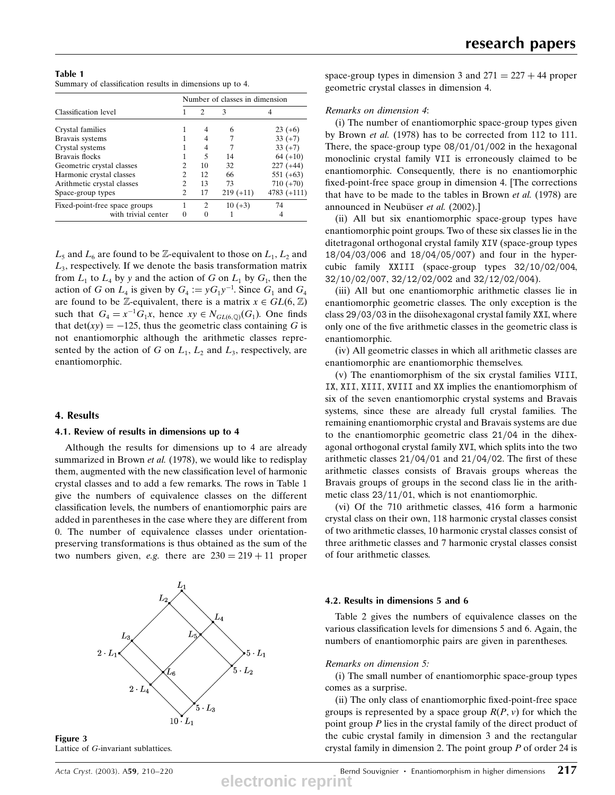Table 1 Summary of classification results in dimensions up to 4.

|                               | Number of classes in dimension |               |             |               |  |  |  |  |
|-------------------------------|--------------------------------|---------------|-------------|---------------|--|--|--|--|
| Classification level          |                                | $\mathcal{L}$ | 3           |               |  |  |  |  |
| Crystal families              |                                |               | 6           | $23 (+6)$     |  |  |  |  |
| Bravais systems               |                                |               |             | $33 (+7)$     |  |  |  |  |
| Crystal systems               |                                |               | 7           | $33 (+7)$     |  |  |  |  |
| Bravais flocks                |                                | 5             | 14          | $64 (+10)$    |  |  |  |  |
| Geometric crystal classes     | 2                              | 10            | 32          | $227 (+44)$   |  |  |  |  |
| Harmonic crystal classes      | $\overline{c}$                 | 12            | 66          | $551 (+63)$   |  |  |  |  |
| Arithmetic crystal classes    | 2                              | 13            | 73          | $710 (+70)$   |  |  |  |  |
| Space-group types             | $\overline{c}$                 | 17            | $219 (+11)$ | $4783 (+111)$ |  |  |  |  |
| Fixed-point-free space groups | 1                              | 2             | $10 (+3)$   | 74            |  |  |  |  |
| with trivial center           | 0                              | 0             |             |               |  |  |  |  |

 $L_5$  and  $L_6$  are found to be Z-equivalent to those on  $L_1, L_2$  and  $L<sub>3</sub>$ , respectively. If we denote the basis transformation matrix from  $L_1$  to  $L_4$  by y and the action of G on  $L_1$  by  $G_1$ , then the action of G on  $L_4$  is given by  $G_4 := yG_1y^{-1}$ . Since  $G_1$  and  $G_4$ are found to be Z-equivalent, there is a matrix  $x \in GL(6, \mathbb{Z})$ such that  $G_4 = x^{-1}G_1x$ , hence  $xy \in N_{GL(6,\mathbb{Q})}(G_1)$ . One finds that det(xy) = -125, thus the geometric class containing G is not enantiomorphic although the arithmetic classes represented by the action of G on  $L_1$ ,  $L_2$  and  $L_3$ , respectively, are enantiomorphic.

### 4. Results

#### 4.1. Review of results in dimensions up to 4

Although the results for dimensions up to 4 are already summarized in Brown et al. (1978), we would like to redisplay them, augmented with the new classification level of harmonic crystal classes and to add a few remarks. The rows in Table 1 give the numbers of equivalence classes on the different classification levels, the numbers of enantiomorphic pairs are added in parentheses in the case where they are different from 0. The number of equivalence classes under orientationpreserving transformations is thus obtained as the sum of the two numbers given, e.g. there are  $230 = 219 + 11$  proper



Figure 3 Lattice of G-invariant sublattices.

space-group types in dimension 3 and  $271 = 227 + 44$  proper geometric crystal classes in dimension 4.

#### Remarks on dimension 4:

(i) The number of enantiomorphic space-group types given by Brown et al. (1978) has to be corrected from 112 to 111. There, the space-group type  $08/01/01/002$  in the hexagonal monoclinic crystal family VII is erroneously claimed to be enantiomorphic. Consequently, there is no enantiomorphic fixed-point-free space group in dimension 4. [The corrections that have to be made to the tables in Brown et al. (1978) are announced in Neubüser et al. (2002).]

(ii) All but six enantiomorphic space-group types have enantiomorphic point groups. Two of these six classes lie in the ditetragonal orthogonal crystal family XIV (space-group types 18/04/03/006 and 18/04/05/007) and four in the hypercubic family XXIII (space-group types  $32/10/02/004$ , 32/10/02/007, 32/12/02/002 and 32/12/02/004).

(iii) All but one enantiomorphic arithmetic classes lie in enantiomorphic geometric classes. The only exception is the class 29/03/03 in the diisohexagonal crystal family XXI, where only one of the five arithmetic classes in the geometric class is enantiomorphic.

(iv) All geometric classes in which all arithmetic classes are enantiomorphic are enantiomorphic themselves.

(v) The enantiomorphism of the six crystal families VIII, IX, XII, XIII, XVIII and XX implies the enantiomorphism of six of the seven enantiomorphic crystal systems and Bravais systems, since these are already full crystal families. The remaining enantiomorphic crystal and Bravais systems are due to the enantiomorphic geometric class  $21/04$  in the dihexagonal orthogonal crystal family XVI, which splits into the two arithmetic classes  $21/04/01$  and  $21/04/02$ . The first of these arithmetic classes consists of Bravais groups whereas the Bravais groups of groups in the second class lie in the arithmetic class  $23/11/01$ , which is not enantiomorphic.

(vi) Of the 710 arithmetic classes, 416 form a harmonic crystal class on their own, 118 harmonic crystal classes consist of two arithmetic classes, 10 harmonic crystal classes consist of three arithmetic classes and 7 harmonic crystal classes consist of four arithmetic classes.

### 4.2. Results in dimensions 5 and 6

Table 2 gives the numbers of equivalence classes on the various classification levels for dimensions 5 and 6. Again, the numbers of enantiomorphic pairs are given in parentheses.

# Remarks on dimension 5:

(i) The small number of enantiomorphic space-group types comes as a surprise.

(ii) The only class of enantiomorphic fixed-point-free space groups is represented by a space group  $R(P, v)$  for which the point group P lies in the crystal family of the direct product of the cubic crystal family in dimension 3 and the rectangular crystal family in dimension 2. The point group  $P$  of order 24 is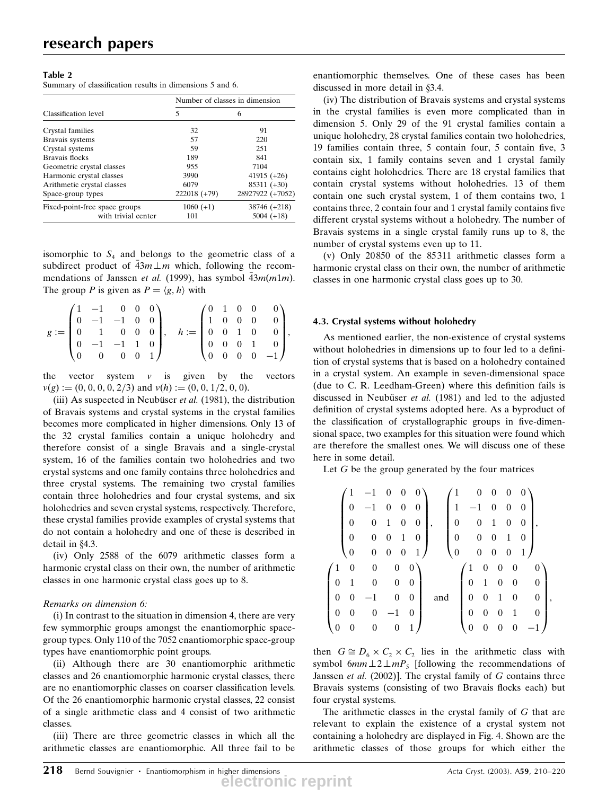## Table 2

Summary of classification results in dimensions 5 and 6.

|                               |                | Number of classes in dimension |  |  |
|-------------------------------|----------------|--------------------------------|--|--|
| Classification level          | 5              | 6                              |  |  |
| Crystal families              | 32             | 91                             |  |  |
| Bravais systems               | 57             | 220                            |  |  |
| Crystal systems               | 59             | 251                            |  |  |
| Bravais flocks                | 189            | 841                            |  |  |
| Geometric crystal classes     | 955            | 7104                           |  |  |
| Harmonic crystal classes      | 3990           | 41915 $(+26)$                  |  |  |
| Arithmetic crystal classes    | 6079           | $85311 (+30)$                  |  |  |
| Space-group types             | $222018 (+79)$ | 28927922 (+7052)               |  |  |
| Fixed-point-free space groups | $1060 (+1)$    | 38746 (+218)                   |  |  |
| with trivial center           | 101            | $5004 (+18)$                   |  |  |

isomorphic to  $S<sub>4</sub>$  and belongs to the geometric class of a subdirect product of  $\overline{43m \perp m}$  which, following the recommendations of Janssen *et al.* (1999), has symbol  $\overline{43m(m1m)}$ . The group P is given as  $P = \langle g, h \rangle$  with

|                                                          | $(1 -1 0 0 0)$                                      |  |  |                                                                                             |  |  | $\left(0\quad1\quad0\quad0\quad0\right)$          |  |
|----------------------------------------------------------|-----------------------------------------------------|--|--|---------------------------------------------------------------------------------------------|--|--|---------------------------------------------------|--|
|                                                          | $\begin{bmatrix} 0 & -1 & -1 & 0 & 0 \end{bmatrix}$ |  |  | $h := \left[\begin{array}{cccc} 1 & 0 & 0 & 0 & 0 \\ 0 & 0 & 1 & 0 & 0 \end{array}\right],$ |  |  |                                                   |  |
| $g := \begin{bmatrix} 0 & 1 & 0 & 0 & 0 \end{bmatrix}$ , |                                                     |  |  |                                                                                             |  |  |                                                   |  |
|                                                          | $\begin{bmatrix} 0 & -1 & -1 & 1 & 0 \end{bmatrix}$ |  |  |                                                                                             |  |  | $\begin{bmatrix} 0 & 0 & 0 & 1 & 0 \end{bmatrix}$ |  |
|                                                          | $\begin{pmatrix} 0 & 0 & 0 & 0 & 1 \end{pmatrix}$   |  |  |                                                                                             |  |  | $(0 \t 0 \t 0 \t -1)$                             |  |

the vector system  $v$  is given by the vectors  $v(g) := (0, 0, 0, 0, 2/3)$  and  $v(h) := (0, 0, 1/2, 0, 0)$ .

(iii) As suspected in Neubüser *et al.* (1981), the distribution of Bravais systems and crystal systems in the crystal families becomes more complicated in higher dimensions. Only 13 of the 32 crystal families contain a unique holohedry and therefore consist of a single Bravais and a single-crystal system, 16 of the families contain two holohedries and two crystal systems and one family contains three holohedries and three crystal systems. The remaining two crystal families contain three holohedries and four crystal systems, and six holohedries and seven crystal systems, respectively. Therefore, these crystal families provide examples of crystal systems that do not contain a holohedry and one of these is described in detail in  $§4.3$ .

(iv) Only 2588 of the 6079 arithmetic classes form a harmonic crystal class on their own, the number of arithmetic classes in one harmonic crystal class goes up to 8.

# Remarks on dimension 6:

(i) In contrast to the situation in dimension 4, there are very few symmorphic groups amongst the enantiomorphic spacegroup types. Only 110 of the 7052 enantiomorphic space-group types have enantiomorphic point groups.

(ii) Although there are 30 enantiomorphic arithmetic classes and 26 enantiomorphic harmonic crystal classes, there are no enantiomorphic classes on coarser classification levels. Of the 26 enantiomorphic harmonic crystal classes, 22 consist of a single arithmetic class and 4 consist of two arithmetic classes.

(iii) There are three geometric classes in which all the arithmetic classes are enantiomorphic. All three fail to be enantiomorphic themselves. One of these cases has been discussed in more detail in §3.4.

(iv) The distribution of Bravais systems and crystal systems in the crystal families is even more complicated than in dimension 5. Only 29 of the 91 crystal families contain a unique holohedry, 28 crystal families contain two holohedries, 19 families contain three, 5 contain four, 5 contain five, 3 contain six, 1 family contains seven and 1 crystal family contains eight holohedries. There are 18 crystal families that contain crystal systems without holohedries. 13 of them contain one such crystal system, 1 of them contains two, 1 contains three, 2 contain four and 1 crystal family contains five different crystal systems without a holohedry. The number of Bravais systems in a single crystal family runs up to 8, the number of crystal systems even up to 11.

(v) Only 20850 of the 85311 arithmetic classes form a harmonic crystal class on their own, the number of arithmetic classes in one harmonic crystal class goes up to 30.

# 4.3. Crystal systems without holohedry

As mentioned earlier, the non-existence of crystal systems without holohedries in dimensions up to four led to a definition of crystal systems that is based on a holohedry contained in a crystal system. An example in seven-dimensional space (due to C. R. Leedham-Green) where this definition fails is discussed in Neubüser et al.  $(1981)$  and led to the adjusted definition of crystal systems adopted here. As a byproduct of the classification of crystallographic groups in five-dimensional space, two examples for this situation were found which are therefore the smallest ones. We will discuss one of these here in some detail.

Let  $G$  be the group generated by the four matrices

|                |                  | $^{-1}$          | 0                | 0                | $\overline{0}$   |     | 1                |      | 0                | 0                | $\overline{0}$   | $\theta$       |                  |  |
|----------------|------------------|------------------|------------------|------------------|------------------|-----|------------------|------|------------------|------------------|------------------|----------------|------------------|--|
|                | 0                | $-1$             | $\overline{0}$   | 0                | 0                |     | 1                | $-1$ |                  | 0                | 0                | 0              |                  |  |
|                | 0                | $\boldsymbol{0}$ | 1                | 0                | $\overline{0}$   |     | 0                |      | $\boldsymbol{0}$ | 1                | 0                | $\overline{0}$ |                  |  |
|                | $\overline{0}$   | $\boldsymbol{0}$ | $\boldsymbol{0}$ | 1                | 0                |     | $\boldsymbol{0}$ |      | $\boldsymbol{0}$ | $\boldsymbol{0}$ | 1                | 0              |                  |  |
|                | 0                | $\boldsymbol{0}$ | 0                | $\boldsymbol{0}$ | 1)               |     | $\boldsymbol{0}$ |      | $\boldsymbol{0}$ | $\boldsymbol{0}$ | $\boldsymbol{0}$ | 1,             |                  |  |
| 1              | $\boldsymbol{0}$ | 0                | $\boldsymbol{0}$ |                  | $\boldsymbol{0}$ |     |                  | 1    | $\boldsymbol{0}$ | 0                | 0                |                | $\overline{0}$   |  |
| 0              | 1                | 0                | 0                |                  | $\boldsymbol{0}$ |     |                  | 0    | 1                | 0                | 0                |                | $\boldsymbol{0}$ |  |
| $\overline{0}$ | 0                |                  | $\boldsymbol{0}$ |                  | $\boldsymbol{0}$ | and |                  | 0    | 0                | 1                | 0                |                | $\boldsymbol{0}$ |  |
| 0              | 0                | 0                |                  |                  | $\overline{0}$   |     |                  | 0    | 0                | 0                | 1                |                | $\overline{0}$   |  |
| 0              | 0                |                  | $\boldsymbol{0}$ | 1                |                  |     |                  | 0    |                  | 0                |                  |                |                  |  |

then  $G \cong D_6 \times C_2 \times C_2$  lies in the arithmetic class with symbol 6mm  $\perp 2 \perp mP_5$  [following the recommendations of Janssen et al.  $(2002)$ ]. The crystal family of  $G$  contains three Bravais systems (consisting of two Bravais flocks each) but four crystal systems.

The arithmetic classes in the crystal family of  $G$  that are relevant to explain the existence of a crystal system not containing a holohedry are displayed in Fig. 4. Shown are the arithmetic classes of those groups for which either the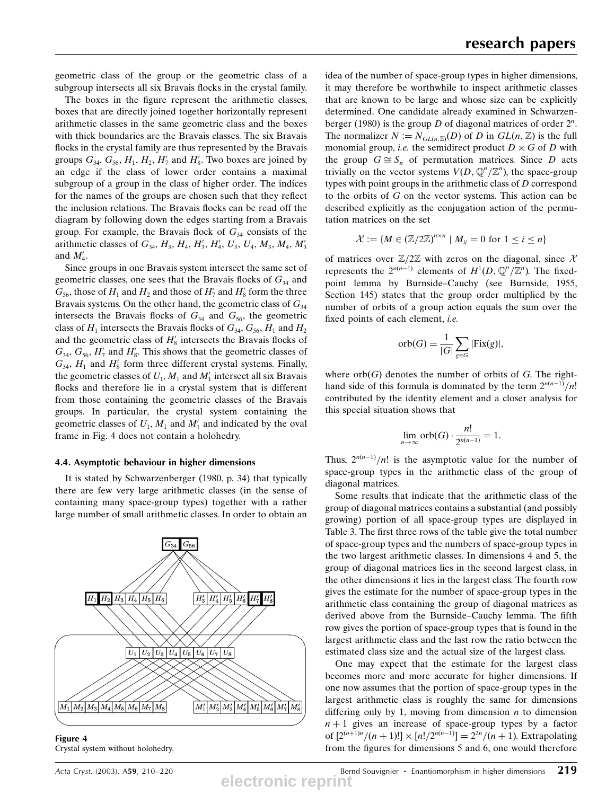geometric class of the group or the geometric class of a subgroup intersects all six Bravais flocks in the crystal family.

The boxes in the figure represent the arithmetic classes, boxes that are directly joined together horizontally represent arithmetic classes in the same geometric class and the boxes with thick boundaries are the Bravais classes. The six Bravais flocks in the crystal family are thus represented by the Bravais groups  $G_{34}$ ,  $G_{56}$ ,  $H_1$ ,  $H_2$ ,  $H'_7$  and  $H'_8$ . Two boxes are joined by an edge if the class of lower order contains a maximal subgroup of a group in the class of higher order. The indices for the names of the groups are chosen such that they reflect the inclusion relations. The Bravais flocks can be read off the diagram by following down the edges starting from a Bravais group. For example, the Bravais flock of  $G_{34}$  consists of the arithmetic classes of  $G_{34}$ ,  $H_3$ ,  $H_4$ ,  $H'_3$ ,  $H'_4$ ,  $U_3$ ,  $U_4$ ,  $M_3$ ,  $M_4$ ,  $M'_3$ and  $M'_4$ .

Since groups in one Bravais system intersect the same set of geometric classes, one sees that the Bravais flocks of  $G_{34}$  and  $G_{56}$ , those of  $H_1$  and  $H_2$  and those of  $H'_7$  and  $H'_8$  form the three Bravais systems. On the other hand, the geometric class of  $G_{34}$ intersects the Bravais flocks of  $G_{34}$  and  $G_{56}$ , the geometric class of  $H_1$  intersects the Bravais flocks of  $G_{34}$ ,  $G_{56}$ ,  $H_1$  and  $H_2$ and the geometric class of  $H_8'$  intersects the Bravais flocks of  $G_{34}$ ,  $G_{56}$ ,  $H'_7$  and  $H'_8$ . This shows that the geometric classes of  $G_{34}$ ,  $H_1$  and  $H_8'$  form three different crystal systems. Finally, the geometric classes of  $U_1$ ,  $M_1$  and  $M'_1$  intersect all six Bravais flocks and therefore lie in a crystal system that is different from those containing the geometric classes of the Bravais groups. In particular, the crystal system containing the geometric classes of  $U_1$ ,  $M_1$  and  $M'_1$  and indicated by the oval frame in Fig. 4 does not contain a holohedry.

#### 4.4. Asymptotic behaviour in higher dimensions

It is stated by Schwarzenberger (1980, p. 34) that typically there are few very large arithmetic classes (in the sense of containing many space-group types) together with a rather large number of small arithmetic classes. In order to obtain an



Figure 4 Crystal system without holohedry.

idea of the number of space-group types in higher dimensions, it may therefore be worthwhile to inspect arithmetic classes that are known to be large and whose size can be explicitly determined. One candidate already examined in Schwarzenberger (1980) is the group D of diagonal matrices of order  $2^n$ . The normalizer  $N := N_{GL(n,\mathbb{Z})}(D)$  of D in  $GL(n,\mathbb{Z})$  is the full monomial group, *i.e.* the semidirect product  $D \rtimes G$  of D with the group  $G \cong S_n$  of permutation matrices. Since D acts trivially on the vector systems  $V(D, \mathbb{Q}^n/\mathbb{Z}^n)$ , the space-group types with point groups in the arithmetic class of  $D$  correspond to the orbits of G on the vector systems. This action can be described explicitly as the conjugation action of the permutation matrices on the set

$$
\mathcal{X} := \{ M \in (\mathbb{Z}/2\mathbb{Z})^{n \times n} \mid M_{ii} = 0 \text{ for } 1 \le i \le n \}
$$

of matrices over  $\mathbb{Z}/2\mathbb{Z}$  with zeros on the diagonal, since X represents the  $2^{n(n-1)}$  elements of  $H^1(D, \mathbb{Q}^n/\mathbb{Z}^n)$ . The fixedpoint lemma by Burnside–Cauchy (see Burnside, 1955, Section 145) states that the group order multiplied by the number of orbits of a group action equals the sum over the fixed points of each element, i.e.

$$
orb(G) = \frac{1}{|G|} \sum_{g \in G} |Fix(g)|,
$$

where  $orb(G)$  denotes the number of orbits of G. The righthand side of this formula is dominated by the term  $2^{n(n-1)}/n!$ contributed by the identity element and a closer analysis for this special situation shows that

$$
\lim_{n \to \infty} \operatorname{orb}(G) \cdot \frac{n!}{2^{n(n-1)}} = 1.
$$

Thus,  $2^{n(n-1)}/n!$  is the asymptotic value for the number of space-group types in the arithmetic class of the group of diagonal matrices.

Some results that indicate that the arithmetic class of the group of diagonal matrices contains a substantial (and possibly growing) portion of all space-group types are displayed in Table 3. The first three rows of the table give the total number of space-group types and the numbers of space-group types in the two largest arithmetic classes. In dimensions 4 and 5, the group of diagonal matrices lies in the second largest class, in the other dimensions it lies in the largest class. The fourth row gives the estimate for the number of space-group types in the arithmetic class containing the group of diagonal matrices as derived above from the Burnside–Cauchy lemma. The fifth row gives the portion of space-group types that is found in the largest arithmetic class and the last row the ratio between the estimated class size and the actual size of the largest class.

One may expect that the estimate for the largest class becomes more and more accurate for higher dimensions. If one now assumes that the portion of space-group types in the largest arithmetic class is roughly the same for dimensions differing only by 1, moving from dimension  $n$  to dimension  $n + 1$  gives an increase of space-group types by a factor of  $[2^{(n+1)n}/(n+1)!] \times [n!/2^{n(n-1)}] = 2^{2n}/(n+1)$ . Extrapolating from the figures for dimensions 5 and 6, one would therefore